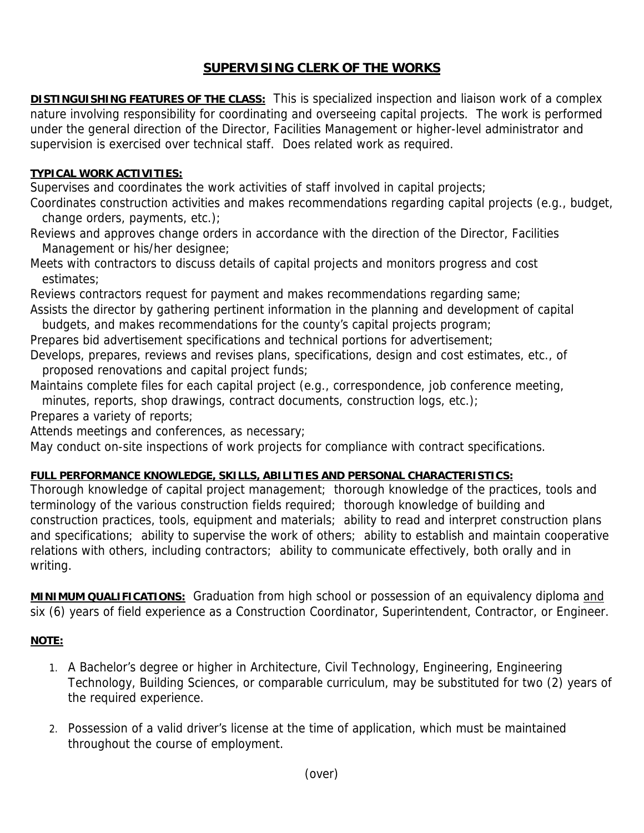## **SUPERVISING CLERK OF THE WORKS**

**DISTINGUISHING FEATURES OF THE CLASS:** This is specialized inspection and liaison work of a complex nature involving responsibility for coordinating and overseeing capital projects. The work is performed under the general direction of the Director, Facilities Management or higher-level administrator and supervision is exercised over technical staff. Does related work as required.

## **TYPICAL WORK ACTIVITIES:**

Supervises and coordinates the work activities of staff involved in capital projects;

Coordinates construction activities and makes recommendations regarding capital projects (e.g., budget, change orders, payments, etc.);

Reviews and approves change orders in accordance with the direction of the Director, Facilities Management or his/her designee;

Meets with contractors to discuss details of capital projects and monitors progress and cost estimates;

Reviews contractors request for payment and makes recommendations regarding same;

Assists the director by gathering pertinent information in the planning and development of capital budgets, and makes recommendations for the county's capital projects program;

Prepares bid advertisement specifications and technical portions for advertisement;

Develops, prepares, reviews and revises plans, specifications, design and cost estimates, etc., of proposed renovations and capital project funds;

Maintains complete files for each capital project (e.g., correspondence, job conference meeting,

minutes, reports, shop drawings, contract documents, construction logs, etc.);

Prepares a variety of reports;

Attends meetings and conferences, as necessary;

May conduct on-site inspections of work projects for compliance with contract specifications.

## **FULL PERFORMANCE KNOWLEDGE, SKILLS, ABILITIES AND PERSONAL CHARACTERISTICS:**

Thorough knowledge of capital project management; thorough knowledge of the practices, tools and terminology of the various construction fields required; thorough knowledge of building and construction practices, tools, equipment and materials; ability to read and interpret construction plans and specifications; ability to supervise the work of others; ability to establish and maintain cooperative relations with others, including contractors; ability to communicate effectively, both orally and in writing.

**MINIMUM QUALIFICATIONS:** Graduation from high school or possession of an equivalency diploma and six (6) years of field experience as a Construction Coordinator, Superintendent, Contractor, or Engineer.

## **NOTE:**

- 1. A Bachelor's degree or higher in Architecture, Civil Technology, Engineering, Engineering Technology, Building Sciences, or comparable curriculum, may be substituted for two (2) years of the required experience.
- 2. Possession of a valid driver's license at the time of application, which must be maintained throughout the course of employment.